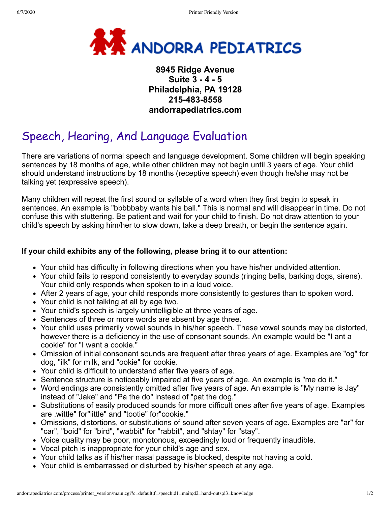

## **8945 Ridge Avenue Suite 3 - 4 - 5 Philadelphia, PA 19128 215-483-8558 andorrapediatrics.com**

## Speech, Hearing, And Language Evaluation

There are variations of normal speech and language development. Some children will begin speaking sentences by 18 months of age, while other children may not begin until 3 years of age. Your child should understand instructions by 18 months (receptive speech) even though he/she may not be talking yet (expressive speech).

Many children will repeat the first sound or syllable of a word when they first begin to speak in sentences. An example is "bbbbbaby wants his ball." This is normal and will disappear in time. Do not confuse this with stuttering. Be patient and wait for your child to finish. Do not draw attention to your child's speech by asking him/her to slow down, take a deep breath, or begin the sentence again.

## **If your child exhibits any of the following, please bring it to our attention:**

- Your child has difficulty in following directions when you have his/her undivided attention.
- Your child fails to respond consistently to everyday sounds (ringing bells, barking dogs, sirens). Your child only responds when spoken to in a loud voice.
- After 2 years of age, your child responds more consistently to gestures than to spoken word.
- Your child is not talking at all by age two.
- Your child's speech is largely unintelligible at three years of age.
- Sentences of three or more words are absent by age three.
- Your child uses primarily vowel sounds in his/her speech. These vowel sounds may be distorted, however there is a deficiency in the use of consonant sounds. An example would be "I ant a cookie" for "I want a cookie."
- Omission of initial consonant sounds are frequent after three years of age. Examples are "og" for dog, "ilk" for milk, and "ookie" for cookie.
- Your child is difficult to understand after five years of age.
- Sentence structure is noticeably impaired at five years of age. An example is "me do it."
- Word endings are consistently omitted after five years of age. An example is "My name is Jay" instead of "Jake" and "Pa the do" instead of "pat the dog."
- Substitutions of easily produced sounds for more difficult ones after five years of age. Examples are .wittle" for"little" and "tootie" for"cookie."
- Omissions, distortions, or substitutions of sound after seven years of age. Examples are "ar" for "car", "boid" for "bird", "wabbit" for "rabbit", and "shtay" for "stay".
- Voice quality may be poor, monotonous, exceedingly loud or frequently inaudible.
- Vocal pitch is inappropriate for your child's age and sex.
- Your child talks as if his/her nasal passage is blocked, despite not having a cold.
- Your child is embarrassed or disturbed by his/her speech at any age.